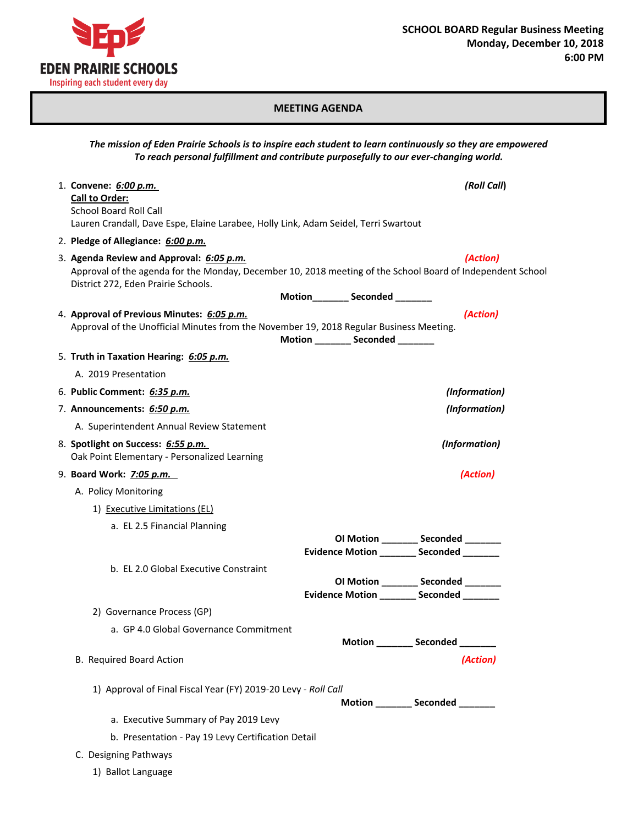

## **MEETING AGENDA**

|                                                                                                                                                                        | The mission of Eden Prairie Schools is to inspire each student to learn continuously so they are empowered<br>To reach personal fulfillment and contribute purposefully to our ever-changing world. |
|------------------------------------------------------------------------------------------------------------------------------------------------------------------------|-----------------------------------------------------------------------------------------------------------------------------------------------------------------------------------------------------|
| 1. Convene: 6:00 p.m.<br><b>Call to Order:</b><br><b>School Board Roll Call</b><br>Lauren Crandall, Dave Espe, Elaine Larabee, Holly Link, Adam Seidel, Terri Swartout | (Roll Call)                                                                                                                                                                                         |
| 2. Pledge of Allegiance: 6:00 p.m.                                                                                                                                     |                                                                                                                                                                                                     |
| 3. Agenda Review and Approval: 6:05 p.m.<br>District 272, Eden Prairie Schools.                                                                                        | (Action)<br>Approval of the agenda for the Monday, December 10, 2018 meeting of the School Board of Independent School                                                                              |
|                                                                                                                                                                        | Motion__________ Seconded ________                                                                                                                                                                  |
| 4. Approval of Previous Minutes: 6:05 p.m.<br>Approval of the Unofficial Minutes from the November 19, 2018 Regular Business Meeting.                                  | (Action)<br>Motion ________ Seconded _______                                                                                                                                                        |
| 5. Truth in Taxation Hearing: 6:05 p.m.                                                                                                                                |                                                                                                                                                                                                     |
| A. 2019 Presentation                                                                                                                                                   |                                                                                                                                                                                                     |
| 6. Public Comment: 6:35 p.m.                                                                                                                                           | (Information)                                                                                                                                                                                       |
| 7. Announcements: 6:50 p.m.                                                                                                                                            | (Information)                                                                                                                                                                                       |
| A. Superintendent Annual Review Statement                                                                                                                              |                                                                                                                                                                                                     |
| 8. Spotlight on Success: 6:55 p.m.<br>Oak Point Elementary - Personalized Learning                                                                                     | (Information)                                                                                                                                                                                       |
| 9. Board Work: 7:05 p.m.                                                                                                                                               | (Action)                                                                                                                                                                                            |
| A. Policy Monitoring                                                                                                                                                   |                                                                                                                                                                                                     |
| 1) Executive Limitations (EL)                                                                                                                                          |                                                                                                                                                                                                     |
| a. EL 2.5 Financial Planning                                                                                                                                           |                                                                                                                                                                                                     |
|                                                                                                                                                                        | OI Motion ________ Seconded _______<br>Evidence Motion _________ Seconded _______                                                                                                                   |
| b. EL 2.0 Global Executive Constraint                                                                                                                                  | OI Motion ________ Seconded _______<br>Evidence Motion ________ Seconded _______                                                                                                                    |
| 2) Governance Process (GP)                                                                                                                                             |                                                                                                                                                                                                     |
| a. GP 4.0 Global Governance Commitment                                                                                                                                 |                                                                                                                                                                                                     |
|                                                                                                                                                                        | Motion _________ Seconded _______                                                                                                                                                                   |
| B. Required Board Action                                                                                                                                               | (Action)                                                                                                                                                                                            |
| 1) Approval of Final Fiscal Year (FY) 2019-20 Levy - Roll Call                                                                                                         | Motion _________ Seconded ________                                                                                                                                                                  |
| a. Executive Summary of Pay 2019 Levy                                                                                                                                  |                                                                                                                                                                                                     |
| b. Presentation - Pay 19 Levy Certification Detail                                                                                                                     |                                                                                                                                                                                                     |
| C. Designing Pathways                                                                                                                                                  |                                                                                                                                                                                                     |
| 1) Ballot Language                                                                                                                                                     |                                                                                                                                                                                                     |
|                                                                                                                                                                        |                                                                                                                                                                                                     |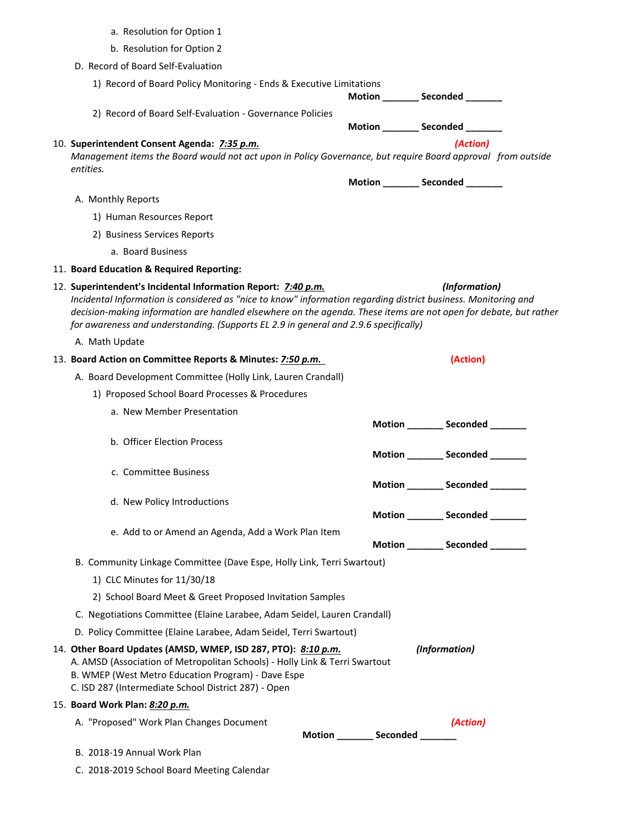| a. Resolution for Option 1                                                                                                                                                                                                                                                                                                                                                                                   |                                   |                                   |  |  |
|--------------------------------------------------------------------------------------------------------------------------------------------------------------------------------------------------------------------------------------------------------------------------------------------------------------------------------------------------------------------------------------------------------------|-----------------------------------|-----------------------------------|--|--|
| b. Resolution for Option 2                                                                                                                                                                                                                                                                                                                                                                                   |                                   |                                   |  |  |
| D. Record of Board Self-Evaluation                                                                                                                                                                                                                                                                                                                                                                           |                                   |                                   |  |  |
| 1) Record of Board Policy Monitoring - Ends & Executive Limitations                                                                                                                                                                                                                                                                                                                                          |                                   | Motion ________ Seconded _______  |  |  |
| 2) Record of Board Self-Evaluation - Governance Policies                                                                                                                                                                                                                                                                                                                                                     |                                   | Motion ________ Seconded _______  |  |  |
| (Action)<br>10. Superintendent Consent Agenda: 7:35 p.m.<br>Management items the Board would not act upon in Policy Governance, but require Board approval from outside<br>entities.                                                                                                                                                                                                                         |                                   |                                   |  |  |
|                                                                                                                                                                                                                                                                                                                                                                                                              |                                   | Motion ________ Seconded _______  |  |  |
| A. Monthly Reports                                                                                                                                                                                                                                                                                                                                                                                           |                                   |                                   |  |  |
| 1) Human Resources Report                                                                                                                                                                                                                                                                                                                                                                                    |                                   |                                   |  |  |
| 2) Business Services Reports                                                                                                                                                                                                                                                                                                                                                                                 |                                   |                                   |  |  |
| a. Board Business                                                                                                                                                                                                                                                                                                                                                                                            |                                   |                                   |  |  |
| 11. Board Education & Required Reporting:                                                                                                                                                                                                                                                                                                                                                                    |                                   |                                   |  |  |
| 12. Superintendent's Incidental Information Report: 7:40 p.m.<br>(Information)<br>Incidental Information is considered as "nice to know" information regarding district business. Monitoring and<br>decision-making information are handled elsewhere on the agenda. These items are not open for debate, but rather<br>for awareness and understanding. (Supports EL 2.9 in general and 2.9.6 specifically) |                                   |                                   |  |  |
| A. Math Update                                                                                                                                                                                                                                                                                                                                                                                               |                                   |                                   |  |  |
| 13. Board Action on Committee Reports & Minutes: 7:50 p.m.                                                                                                                                                                                                                                                                                                                                                   |                                   | (Action)                          |  |  |
| A. Board Development Committee (Holly Link, Lauren Crandall)                                                                                                                                                                                                                                                                                                                                                 |                                   |                                   |  |  |
| 1) Proposed School Board Processes & Procedures                                                                                                                                                                                                                                                                                                                                                              |                                   |                                   |  |  |
| a. New Member Presentation                                                                                                                                                                                                                                                                                                                                                                                   |                                   | Motion ________ Seconded ______   |  |  |
| b. Officer Election Process                                                                                                                                                                                                                                                                                                                                                                                  |                                   | Motion _________ Seconded _______ |  |  |
| c. Committee Business                                                                                                                                                                                                                                                                                                                                                                                        |                                   | Motion ________ Seconded _______  |  |  |
| d. New Policy Introductions                                                                                                                                                                                                                                                                                                                                                                                  |                                   |                                   |  |  |
|                                                                                                                                                                                                                                                                                                                                                                                                              |                                   | Motion _________ Seconded _______ |  |  |
| e. Add to or Amend an Agenda, Add a Work Plan Item                                                                                                                                                                                                                                                                                                                                                           |                                   |                                   |  |  |
|                                                                                                                                                                                                                                                                                                                                                                                                              |                                   | Motion Seconded                   |  |  |
| B. Community Linkage Committee (Dave Espe, Holly Link, Terri Swartout)                                                                                                                                                                                                                                                                                                                                       |                                   |                                   |  |  |
| 1) CLC Minutes for 11/30/18                                                                                                                                                                                                                                                                                                                                                                                  |                                   |                                   |  |  |
| 2) School Board Meet & Greet Proposed Invitation Samples                                                                                                                                                                                                                                                                                                                                                     |                                   |                                   |  |  |
| C. Negotiations Committee (Elaine Larabee, Adam Seidel, Lauren Crandall)                                                                                                                                                                                                                                                                                                                                     |                                   |                                   |  |  |
| D. Policy Committee (Elaine Larabee, Adam Seidel, Terri Swartout)                                                                                                                                                                                                                                                                                                                                            |                                   |                                   |  |  |
| 14. Other Board Updates (AMSD, WMEP, ISD 287, PTO): 8:10 p.m.<br>A. AMSD (Association of Metropolitan Schools) - Holly Link & Terri Swartout<br>B. WMEP (West Metro Education Program) - Dave Espe<br>C. ISD 287 (Intermediate School District 287) - Open                                                                                                                                                   |                                   | (Information)                     |  |  |
| 15. Board Work Plan: 8:20 p.m.                                                                                                                                                                                                                                                                                                                                                                               |                                   |                                   |  |  |
| A. "Proposed" Work Plan Changes Document                                                                                                                                                                                                                                                                                                                                                                     |                                   | (Action)                          |  |  |
|                                                                                                                                                                                                                                                                                                                                                                                                              | Motion _________ Seconded _______ |                                   |  |  |
| B. 2018-19 Annual Work Plan                                                                                                                                                                                                                                                                                                                                                                                  |                                   |                                   |  |  |
| C. 2018-2019 School Board Meeting Calendar                                                                                                                                                                                                                                                                                                                                                                   |                                   |                                   |  |  |